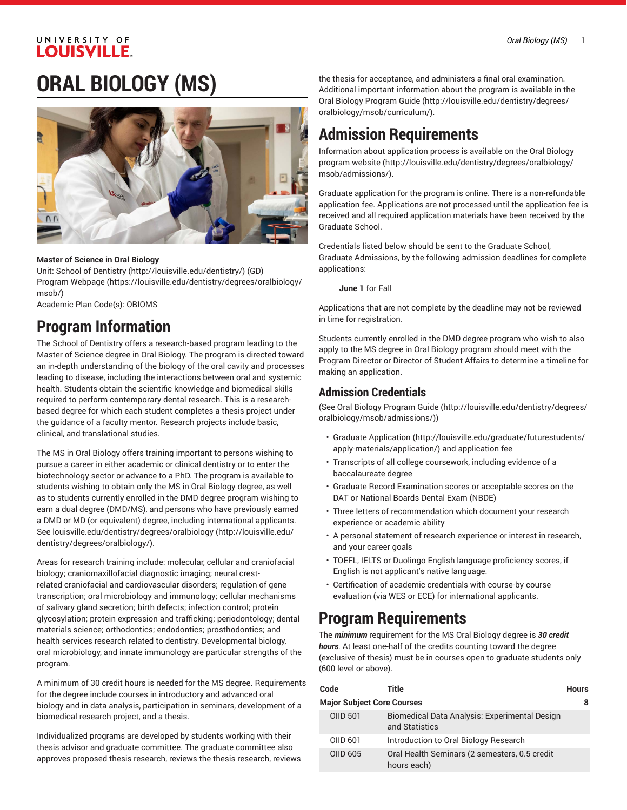### UNIVERSITY OF **LOUISVILLE.**

## **ORAL BIOLOGY (MS)**



#### **Master of Science in Oral Biology**

Unit: School of [Dentistry](http://louisville.edu/dentistry/) [\(http://louisville.edu/dentistry/\)](http://louisville.edu/dentistry/) (GD) Program [Webpage](https://louisville.edu/dentistry/degrees/oralbiology/msob/) [\(https://louisville.edu/dentistry/degrees/oralbiology/](https://louisville.edu/dentistry/degrees/oralbiology/msob/) [msob/\)](https://louisville.edu/dentistry/degrees/oralbiology/msob/)

Academic Plan Code(s): OBIOMS

### **Program Information**

The School of Dentistry offers a research-based program leading to the Master of Science degree in Oral Biology. The program is directed toward an in-depth understanding of the biology of the oral cavity and processes leading to disease, including the interactions between oral and systemic health. Students obtain the scientific knowledge and biomedical skills required to perform contemporary dental research. This is a researchbased degree for which each student completes a thesis project under the guidance of a faculty mentor. Research projects include basic, clinical, and translational studies.

The MS in Oral Biology offers training important to persons wishing to pursue a career in either academic or clinical dentistry or to enter the biotechnology sector or advance to a PhD. The program is available to students wishing to obtain only the MS in Oral Biology degree, as well as to students currently enrolled in the DMD degree program wishing to earn a dual degree (DMD/MS), and persons who have previously earned a DMD or MD (or equivalent) degree, including international applicants. See [louisville.edu/dentistry/degrees/oralbiology \(http://louisville.edu/](http://louisville.edu/dentistry/degrees/oralbiology/) [dentistry/degrees/oralbiology/](http://louisville.edu/dentistry/degrees/oralbiology/)).

Areas for research training include: molecular, cellular and craniofacial biology; craniomaxillofacial diagnostic imaging; neural crestrelated craniofacial and cardiovascular disorders; regulation of gene transcription; oral microbiology and immunology; cellular mechanisms of salivary gland secretion; birth defects; infection control; protein glycosylation; protein expression and trafficking; periodontology; dental materials science; orthodontics; endodontics; prosthodontics; and health services research related to dentistry. Developmental biology, oral microbiology, and innate immunology are particular strengths of the program.

A minimum of 30 credit hours is needed for the MS degree. Requirements for the degree include courses in introductory and advanced oral biology and in data analysis, participation in seminars, development of a biomedical research project, and a thesis.

Individualized programs are developed by students working with their thesis advisor and graduate committee. The graduate committee also approves proposed thesis research, reviews the thesis research, reviews

the thesis for acceptance, and administers a final oral examination. Additional important information about the program is available in the Oral Biology [Program](http://louisville.edu/dentistry/degrees/oralbiology/msob/curriculum/) Guide [\(http://louisville.edu/dentistry/degrees/](http://louisville.edu/dentistry/degrees/oralbiology/msob/curriculum/) [oralbiology/msob/curriculum/](http://louisville.edu/dentistry/degrees/oralbiology/msob/curriculum/)).

### **Admission Requirements**

Information about application process is available on the [Oral Biology](http://louisville.edu/dentistry/degrees/oralbiology/msob/admissions/) [program](http://louisville.edu/dentistry/degrees/oralbiology/msob/admissions/) website [\(http://louisville.edu/dentistry/degrees/oralbiology/](http://louisville.edu/dentistry/degrees/oralbiology/msob/admissions/) [msob/admissions/\)](http://louisville.edu/dentistry/degrees/oralbiology/msob/admissions/).

Graduate application for the program is online. There is a non-refundable application fee. Applications are not processed until the application fee is received and all required application materials have been received by the Graduate School.

Credentials listed below should be sent to the Graduate School, Graduate Admissions, by the following admission deadlines for complete applications:

**June 1** for Fall

Applications that are not complete by the deadline may not be reviewed in time for registration.

Students currently enrolled in the DMD degree program who wish to also apply to the MS degree in Oral Biology program should meet with the Program Director or Director of Student Affairs to determine a timeline for making an application.

### **Admission Credentials**

(See Oral Biology [Program](http://louisville.edu/dentistry/degrees/oralbiology/msob/admissions/) Guide [\(http://louisville.edu/dentistry/degrees/](http://louisville.edu/dentistry/degrees/oralbiology/msob/admissions/) [oralbiology/msob/admissions/](http://louisville.edu/dentistry/degrees/oralbiology/msob/admissions/)))

- [Graduate Application](http://louisville.edu/graduate/futurestudents/apply-materials/application/) ([http://louisville.edu/graduate/futurestudents/](http://louisville.edu/graduate/futurestudents/apply-materials/application/) [apply-materials/application/](http://louisville.edu/graduate/futurestudents/apply-materials/application/)) and application fee
- Transcripts of all college coursework, including evidence of a baccalaureate degree
- Graduate Record Examination scores or acceptable scores on the DAT or National Boards Dental Exam (NBDE)
- Three letters of recommendation which document your research experience or academic ability
- A personal statement of research experience or interest in research, and your career goals
- TOEFL, IELTS or Duolingo English language proficiency scores, if English is not applicant's native language.
- Certification of academic credentials with course-by course evaluation (via WES or ECE) for international applicants.

### **Program Requirements**

The *minimum* requirement for the MS Oral Biology degree is *30 credit hours.* At least one-half of the credits counting toward the degree (exclusive of thesis) must be in courses open to graduate students only (600 level or above).

| Code                              | Title                                                           | <b>Hours</b> |  |  |
|-----------------------------------|-----------------------------------------------------------------|--------------|--|--|
| <b>Major Subject Core Courses</b> |                                                                 |              |  |  |
| <b>OIID 501</b>                   | Biomedical Data Analysis: Experimental Design<br>and Statistics |              |  |  |
| OIID 601                          | Introduction to Oral Biology Research                           |              |  |  |
| OIID 605                          | Oral Health Seminars (2 semesters, 0.5 credit<br>hours each)    |              |  |  |